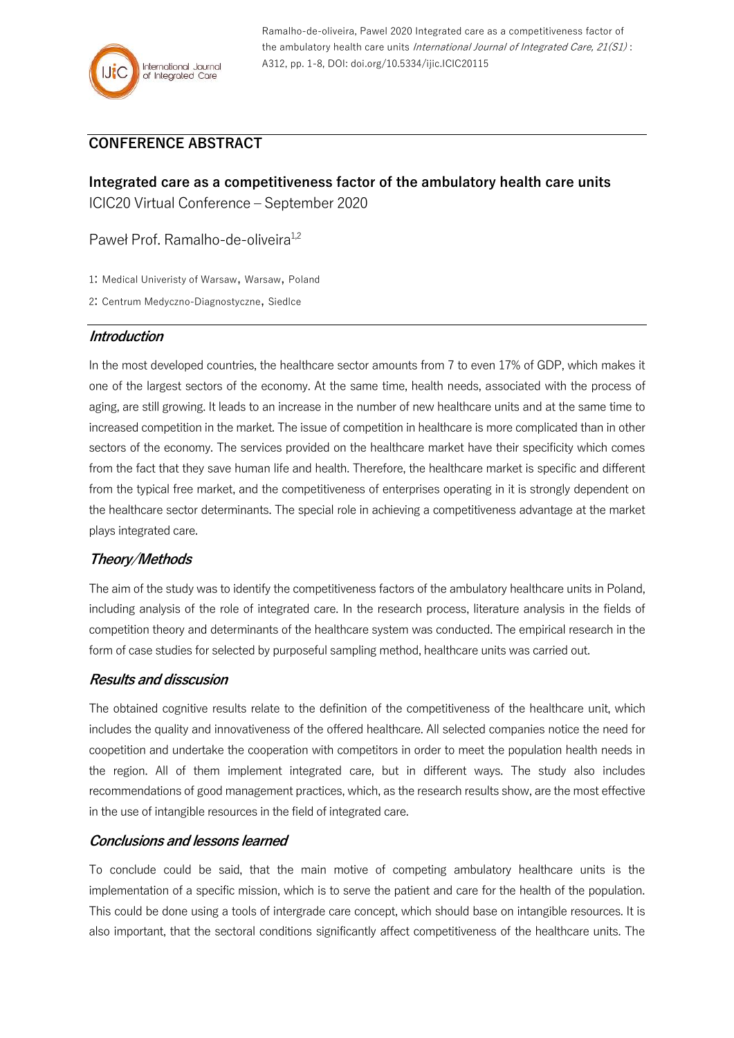Ramalho-de-oliveira, Pawel 2020 Integrated care as a competitiveness factor of the ambulatory health care units International Journal of Integrated Care,  $21(S1)$ : A312, pp. 1-8, DOI: doi.org/10.5334/ijic.ICIC20115

# **CONFERENCE ABSTRACT**

**Integrated care as a competitiveness factor of the ambulatory health care units** ICIC20 Virtual Conference – September 2020

Paweł Prof. Ramalho-de-oliveira<sup>1,2</sup>

1: Medical Univeristy of Warsaw, Warsaw, Poland

2: Centrum Medyczno-Diagnostyczne, Siedlce

#### **Introduction**

In the most developed countries, the healthcare sector amounts from 7 to even 17% of GDP, which makes it one of the largest sectors of the economy. At the same time, health needs, associated with the process of aging, are still growing. It leads to an increase in the number of new healthcare units and at the same time to increased competition in the market. The issue of competition in healthcare is more complicated than in other sectors of the economy. The services provided on the healthcare market have their specificity which comes from the fact that they save human life and health. Therefore, the healthcare market is specific and different from the typical free market, and the competitiveness of enterprises operating in it is strongly dependent on the healthcare sector determinants. The special role in achieving a competitiveness advantage at the market plays integrated care.

## **Theory/Methods**

The aim of the study was to identify the competitiveness factors of the ambulatory healthcare units in Poland, including analysis of the role of integrated care. In the research process, literature analysis in the fields of competition theory and determinants of the healthcare system was conducted. The empirical research in the form of case studies for selected by purposeful sampling method, healthcare units was carried out.

## **Results and disscusion**

The obtained cognitive results relate to the definition of the competitiveness of the healthcare unit, which includes the quality and innovativeness of the offered healthcare. All selected companies notice the need for coopetition and undertake the cooperation with competitors in order to meet the population health needs in the region. All of them implement integrated care, but in different ways. The study also includes recommendations of good management practices, which, as the research results show, are the most effective in the use of intangible resources in the field of integrated care.

## **Conclusions and lessons learned**

To conclude could be said, that the main motive of competing ambulatory healthcare units is the implementation of a specific mission, which is to serve the patient and care for the health of the population. This could be done using a tools of intergrade care concept, which should base on intangible resources. It is also important, that the sectoral conditions significantly affect competitiveness of the healthcare units. The